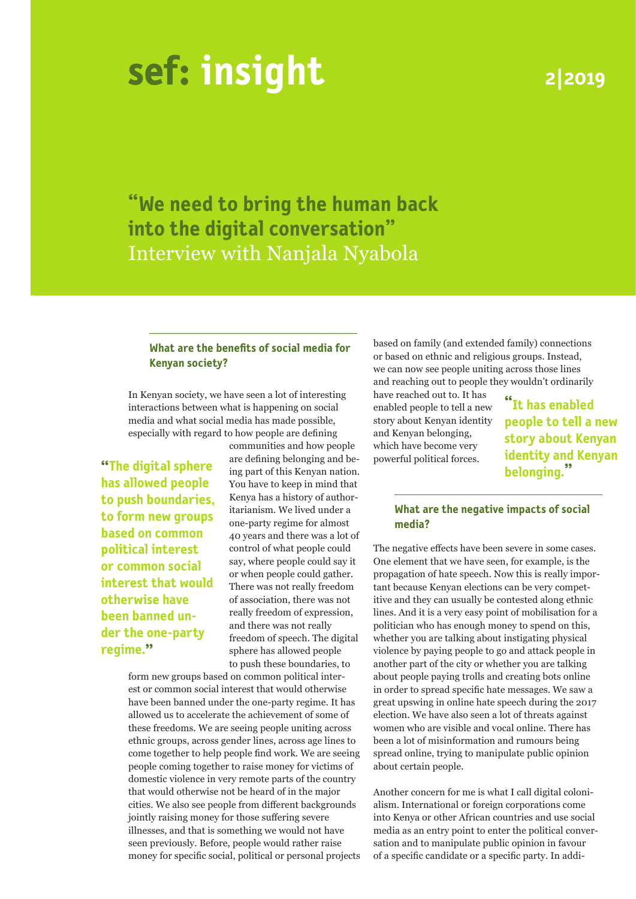# **insight**

# **2|2019**

**"We need to bring the human back into the digital conversation"** Interview with Nanjala Nyabola

# **What are the benefits of social media for Kenyan society?**

In Kenyan society, we have seen a lot of interesting interactions between what is happening on social media and what social media has made possible, especially with regard to how people are defining

**has allowed people to push boundaries, to form new groups based on common political interest or common social interest that would otherwise have been banned under the one-party regime."**

**"The digital sphere** are dening belonging and be- powerful pointed forces.<br> **belonging.** communities and how people are defining belonging and be-You have to keep in mind that Kenya has a history of authoritarianism. We lived under a one-party regime for almost 40 years and there was a lot of control of what people could say, where people could say it or when people could gather. There was not really freedom of association, there was not really freedom of expression, and there was not really freedom of speech. The digital sphere has allowed people to push these boundaries, to

form new groups based on common political interest or common social interest that would otherwise have been banned under the one-party regime. It has allowed us to accelerate the achievement of some of these freedoms. We are seeing people uniting across ethnic groups, across gender lines, across age lines to come together to help people find work. We are seeing people coming together to raise money for victims of domestic violence in very remote parts of the country that would otherwise not be heard of in the major cities. We also see people from different backgrounds jointly raising money for those suffering severe illnesses, and that is something we would not have seen previously. Before, people would rather raise money for specific social, political or personal projects based on family (and extended family) connections or based on ethnic and religious groups. Instead, we can now see people uniting across those lines and reaching out to people they wouldn't ordinarily

have reached out to. It has enabled people to tell a new story about Kenyan identity and Kenyan belonging, which have become very powerful political forces.

**"It has enabled people to tell a new story about Kenyan identity and Kenyan** 

### **What are the negative impacts of social media?**

The negative effects have been severe in some cases. One element that we have seen, for example, is the propagation of hate speech. Now this is really important because Kenyan elections can be very competitive and they can usually be contested along ethnic lines. And it is a very easy point of mobilisation for a politician who has enough money to spend on this, whether you are talking about instigating physical violence by paying people to go and attack people in another part of the city or whether you are talking about people paying trolls and creating bots online in order to spread specific hate messages. We saw a great upswing in online hate speech during the 2017 election. We have also seen a lot of threats against women who are visible and vocal online. There has been a lot of misinformation and rumours being spread online, trying to manipulate public opinion about certain people.

Another concern for me is what I call digital colonialism. International or foreign corporations come into Kenya or other African countries and use social media as an entry point to enter the political conversation and to manipulate public opinion in favour of a specific candidate or a specific party. In addi